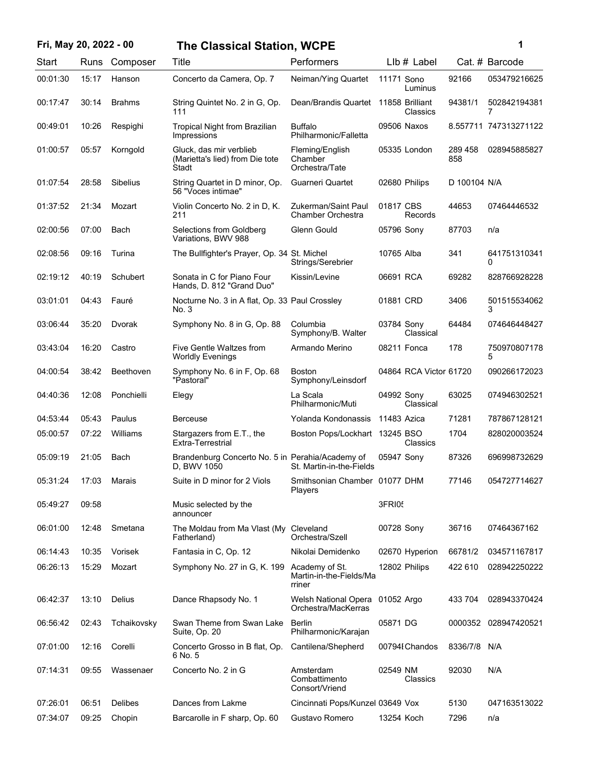| Fri, May 20, 2022 - 00 | The Classical Station, WCPE |
|------------------------|-----------------------------|
|                        |                             |

| ï<br>۰. |  |
|---------|--|
|         |  |
|         |  |

| Start    | Runs  | Composer        | Title                                                               | Performers                                          | $Llb#$ Label                |                | Cat. # Barcode        |
|----------|-------|-----------------|---------------------------------------------------------------------|-----------------------------------------------------|-----------------------------|----------------|-----------------------|
| 00:01:30 | 15:17 | Hanson          | Concerto da Camera, Op. 7                                           | Neiman/Ying Quartet                                 | 11171 Sono<br>Luminus       | 92166          | 053479216625          |
| 00:17:47 | 30:14 | <b>Brahms</b>   | String Quintet No. 2 in G, Op.<br>111                               | Dean/Brandis Quartet                                | 11858 Brilliant<br>Classics | 94381/1        | 502842194381<br>7     |
| 00:49:01 | 10:26 | Respighi        | Tropical Night from Brazilian<br>Impressions                        | Buffalo<br>Philharmonic/Falletta                    | 09506 Naxos                 |                | 8.557711 747313271122 |
| 01:00:57 | 05:57 | Korngold        | Gluck, das mir verblieb<br>(Marietta's lied) from Die tote<br>Stadt | Fleming/English<br>Chamber<br>Orchestra/Tate        | 05335 London                | 289 458<br>858 | 028945885827          |
| 01:07:54 | 28:58 | <b>Sibelius</b> | String Quartet in D minor, Op.<br>56 "Voces intimae"                | Guarneri Quartet                                    | 02680 Philips               | D 100104 N/A   |                       |
| 01:37:52 | 21:34 | Mozart          | Violin Concerto No. 2 in D, K.<br>211                               | Zukerman/Saint Paul<br>Chamber Orchestra            | 01817 CBS<br>Records        | 44653          | 07464446532           |
| 02:00:56 | 07:00 | Bach            | Selections from Goldberg<br>Variations, BWV 988                     | Glenn Gould                                         | 05796 Sony                  | 87703          | n/a                   |
| 02:08:56 | 09:16 | Turina          | The Bullfighter's Prayer, Op. 34 St. Michel                         | Strings/Serebrier                                   | 10765 Alba                  | 341            | 641751310341<br>0     |
| 02:19:12 | 40:19 | Schubert        | Sonata in C for Piano Four<br>Hands, D. 812 "Grand Duo"             | Kissin/Levine                                       | 06691 RCA                   | 69282          | 828766928228          |
| 03:01:01 | 04:43 | Fauré           | Nocturne No. 3 in A flat, Op. 33 Paul Crossley<br>No. 3             |                                                     | 01881 CRD                   | 3406           | 501515534062<br>3     |
| 03:06:44 | 35:20 | Dvorak          | Symphony No. 8 in G, Op. 88                                         | Columbia<br>Symphony/B. Walter                      | 03784 Sony<br>Classical     | 64484          | 074646448427          |
| 03:43:04 | 16:20 | Castro          | Five Gentle Waltzes from<br><b>Worldly Evenings</b>                 | Armando Merino                                      | 08211 Fonca                 | 178            | 750970807178<br>5     |
| 04:00:54 | 38:42 | Beethoven       | Symphony No. 6 in F, Op. 68<br>"Pastoral"                           | <b>Boston</b><br>Symphony/Leinsdorf                 | 04864 RCA Victor 61720      |                | 090266172023          |
| 04:40:36 | 12:08 | Ponchielli      | Elegy                                                               | La Scala<br>Philharmonic/Muti                       | 04992 Sony<br>Classical     | 63025          | 074946302521          |
| 04:53:44 | 05:43 | Paulus          | <b>Berceuse</b>                                                     | Yolanda Kondonassis                                 | 11483 Azica                 | 71281          | 787867128121          |
| 05:00:57 | 07:22 | Williams        | Stargazers from E.T., the<br>Extra-Terrestrial                      | Boston Pops/Lockhart 13245 BSO                      | Classics                    | 1704           | 828020003524          |
| 05:09:19 | 21:05 | Bach            | Brandenburg Concerto No. 5 in Perahia/Academy of<br>D, BWV 1050     | St. Martin-in-the-Fields                            | 05947 Sony                  | 87326          | 696998732629          |
| 05:31:24 | 17:03 | Marais          | Suite in D minor for 2 Viols                                        | Smithsonian Chamber 01077 DHM<br>Players            |                             | 77146          | 054727714627          |
| 05:49:27 | 09:58 |                 | Music selected by the<br>announcer                                  |                                                     | 3FRI05                      |                |                       |
| 06:01:00 | 12:48 | Smetana         | The Moldau from Ma Vlast (My<br>Fatherland)                         | Cleveland<br>Orchestra/Szell                        | 00728 Sony                  | 36716          | 07464367162           |
| 06:14:43 | 10:35 | Vorisek         | Fantasia in C, Op. 12                                               | Nikolai Demidenko                                   | 02670 Hyperion              | 66781/2        | 034571167817          |
| 06:26:13 | 15:29 | Mozart          | Symphony No. 27 in G, K. 199                                        | Academy of St.<br>Martin-in-the-Fields/Ma<br>rriner | 12802 Philips               | 422 610        | 028942250222          |
| 06:42:37 | 13:10 | Delius          | Dance Rhapsody No. 1                                                | Welsh National Opera<br>Orchestra/MacKerras         | 01052 Argo                  | 433 704        | 028943370424          |
| 06:56:42 | 02:43 | Tchaikovsky     | Swan Theme from Swan Lake<br>Suite, Op. 20                          | <b>Berlin</b><br>Philharmonic/Karajan               | 05871 DG                    | 0000352        | 028947420521          |
| 07:01:00 | 12:16 | Corelli         | Concerto Grosso in B flat, Op.<br>6 No. 5                           | Cantilena/Shepherd                                  | 00794I Chandos              | 8336/7/8       | N/A                   |
| 07:14:31 | 09:55 | Wassenaer       | Concerto No. 2 in G                                                 | Amsterdam<br>Combattimento<br>Consort/Vriend        | 02549 NM<br>Classics        | 92030          | N/A                   |
| 07:26:01 | 06:51 | <b>Delibes</b>  | Dances from Lakme                                                   | Cincinnati Pops/Kunzel 03649 Vox                    |                             | 5130           | 047163513022          |
| 07:34:07 | 09:25 | Chopin          | Barcarolle in F sharp, Op. 60                                       | Gustavo Romero                                      | 13254 Koch                  | 7296           | n/a                   |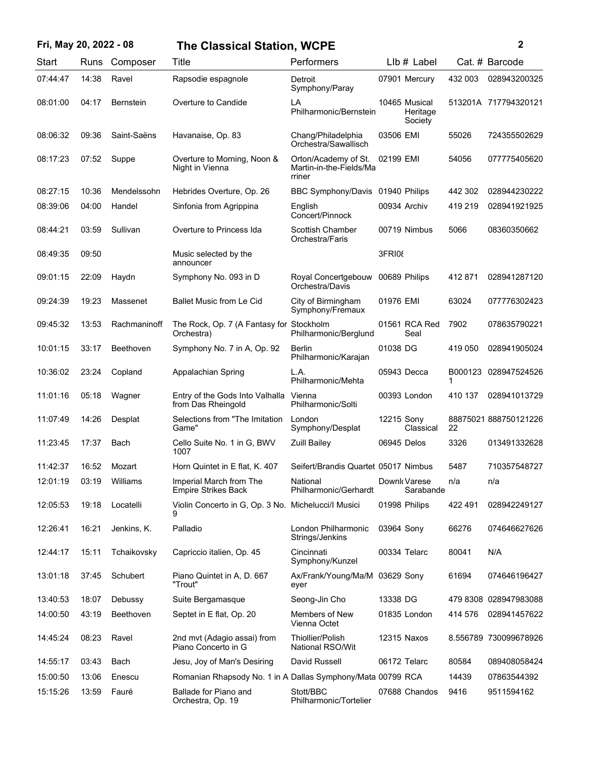| Fri, May 20, 2022 - 08 |       |                  | <b>The Classical Station, WCPE</b>                           |                                                           |               |                                      |              | 2                     |
|------------------------|-------|------------------|--------------------------------------------------------------|-----------------------------------------------------------|---------------|--------------------------------------|--------------|-----------------------|
| Start                  | Runs  | Composer         | Title                                                        | Performers                                                |               | $Llb#$ Label                         |              | Cat. # Barcode        |
| 07:44:47               | 14:38 | Ravel            | Rapsodie espagnole                                           | Detroit<br>Symphony/Paray                                 |               | 07901 Mercury                        | 432 003      | 028943200325          |
| 08:01:00               | 04:17 | <b>Bernstein</b> | Overture to Candide                                          | LA<br>Philharmonic/Bernstein                              |               | 10465 Musical<br>Heritage<br>Society |              | 513201A 717794320121  |
| 08:06:32               | 09:36 | Saint-Saëns      | Havanaise, Op. 83                                            | Chang/Philadelphia<br>Orchestra/Sawallisch                | 03506 EMI     |                                      | 55026        | 724355502629          |
| 08:17:23               | 07:52 | Suppe            | Overture to Morning, Noon &<br>Night in Vienna               | Orton/Academy of St.<br>Martin-in-the-Fields/Ma<br>rriner | 02199 EMI     |                                      | 54056        | 077775405620          |
| 08:27:15               | 10:36 | Mendelssohn      | Hebrides Overture, Op. 26                                    | <b>BBC Symphony/Davis</b>                                 | 01940 Philips |                                      | 442 302      | 028944230222          |
| 08:39:06               | 04:00 | Handel           | Sinfonia from Agrippina                                      | English<br>Concert/Pinnock                                | 00934 Archiv  |                                      | 419 219      | 028941921925          |
| 08:44:21               | 03:59 | Sullivan         | Overture to Princess Ida                                     | <b>Scottish Chamber</b><br>Orchestra/Faris                |               | 00719 Nimbus                         | 5066         | 08360350662           |
| 08:49:35               | 09:50 |                  | Music selected by the<br>announcer                           |                                                           | 3FRI08        |                                      |              |                       |
| 09:01:15               | 22:09 | Haydn            | Symphony No. 093 in D                                        | Royal Concertgebouw<br>Orchestra/Davis                    | 00689 Philips |                                      | 412871       | 028941287120          |
| 09:24:39               | 19:23 | Massenet         | <b>Ballet Music from Le Cid</b>                              | City of Birmingham<br>Symphony/Fremaux                    | 01976 EMI     |                                      | 63024        | 077776302423          |
| 09:45:32               | 13:53 | Rachmaninoff     | The Rock, Op. 7 (A Fantasy for Stockholm<br>Orchestra)       | Philharmonic/Berglund                                     |               | 01561 RCA Red<br>Seal                | 7902         | 078635790221          |
| 10:01:15               | 33:17 | Beethoven        | Symphony No. 7 in A, Op. 92                                  | <b>Berlin</b><br>Philharmonic/Karajan                     | 01038 DG      |                                      | 419 050      | 028941905024          |
| 10:36:02               | 23:24 | Copland          | Appalachian Spring                                           | L.A.<br>Philharmonic/Mehta                                | 05943 Decca   |                                      | B000123<br>1 | 028947524526          |
| 11:01:16               | 05:18 | Wagner           | Entry of the Gods Into Valhalla Vienna<br>from Das Rheingold | Philharmonic/Solti                                        |               | 00393 London                         | 410 137      | 028941013729          |
| 11:07:49               | 14:26 | Desplat          | Selections from "The Imitation<br>Game"                      | London<br>Symphony/Desplat                                | 12215 Sony    | Classical                            | 22           | 88875021 888750121226 |
| 11:23:45               | 17:37 | Bach             | Cello Suite No. 1 in G, BWV<br>1007                          | <b>Zuill Bailey</b>                                       | 06945 Delos   |                                      | 3326         | 013491332628          |
| 11:42:37               | 16:52 | Mozart           | Horn Quintet in E flat, K. 407                               | Seifert/Brandis Quartet 05017 Nimbus                      |               |                                      | 5487         | 710357548727          |
| 12:01:19               | 03:19 | Williams         | Imperial March from The<br><b>Empire Strikes Back</b>        | National<br>Philharmonic/Gerhardt                         |               | Downk Varese<br>Sarabande            | n/a          | n/a                   |
| 12:05:53               | 19:18 | Locatelli        | Violin Concerto in G. Op. 3 No. Michelucci/I Musici<br>9     |                                                           | 01998 Philips |                                      | 422 491      | 028942249127          |
| 12:26:41               | 16:21 | Jenkins, K.      | Palladio                                                     | London Philharmonic<br>Strings/Jenkins                    | 03964 Sony    |                                      | 66276        | 074646627626          |
| 12:44:17               | 15:11 | Tchaikovsky      | Capriccio italien, Op. 45                                    | Cincinnati<br>Symphony/Kunzel                             | 00334 Telarc  |                                      | 80041        | N/A                   |
| 13:01:18               | 37:45 | Schubert         | Piano Quintet in A, D. 667<br>"Trout"                        | Ax/Frank/Young/Ma/M<br>eyer                               | 03629 Sony    |                                      | 61694        | 074646196427          |
| 13:40:53               | 18:07 | Debussy          | Suite Bergamasque                                            | Seong-Jin Cho                                             | 13338 DG      |                                      |              | 479 8308 028947983088 |
| 14:00:50               | 43:19 | Beethoven        | Septet in E flat, Op. 20                                     | Members of New<br>Vienna Octet                            |               | 01835 London                         | 414 576      | 028941457622          |
| 14:45:24               | 08:23 | Ravel            | 2nd mvt (Adagio assai) from<br>Piano Concerto in G           | <b>Thiollier/Polish</b><br>National RSO/Wit               | 12315 Naxos   |                                      |              | 8.556789 730099678926 |
| 14:55:17               | 03:43 | Bach             | Jesu, Joy of Man's Desiring                                  | David Russell                                             | 06172 Telarc  |                                      | 80584        | 089408058424          |
| 15:00:50               | 13:06 | Enescu           | Romanian Rhapsody No. 1 in A Dallas Symphony/Mata 00799 RCA  |                                                           |               |                                      | 14439        | 07863544392           |
| 15:15:26               | 13:59 | Fauré            | Ballade for Piano and<br>Orchestra, Op. 19                   | Stott/BBC<br>Philharmonic/Tortelier                       |               | 07688 Chandos                        | 9416         | 9511594162            |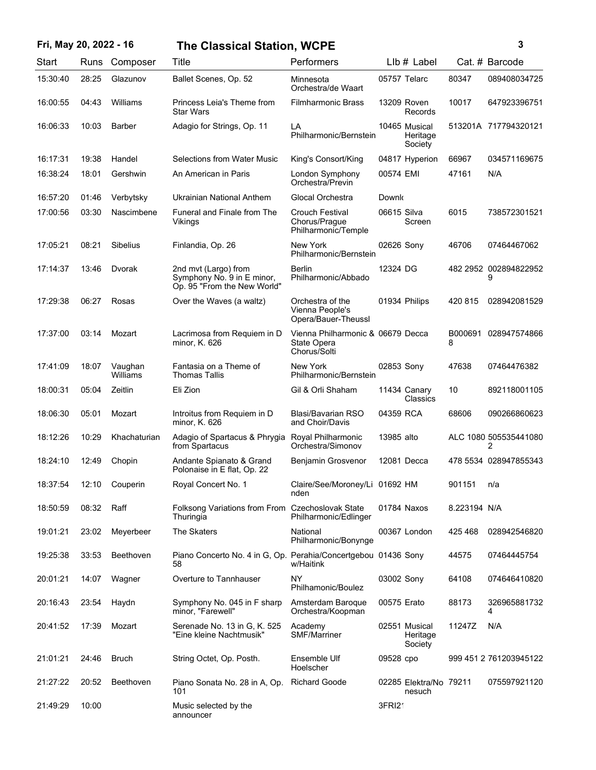## **Fri, May 20, 2022 - 16 3 The Classical Station, WCPE**

| ٦      |
|--------|
|        |
|        |
| I<br>I |

| Start    | Runs  | Composer            | Title                                                                             | Performers                                                       |              | $Llb#$ Label                         |              | Cat. # Barcode             |
|----------|-------|---------------------|-----------------------------------------------------------------------------------|------------------------------------------------------------------|--------------|--------------------------------------|--------------|----------------------------|
| 15:30:40 | 28:25 | Glazunov            | Ballet Scenes, Op. 52                                                             | Minnesota<br>Orchestra/de Waart                                  | 05757 Telarc |                                      | 80347        | 089408034725               |
| 16:00:55 | 04:43 | Williams            | Princess Leia's Theme from<br><b>Star Wars</b>                                    | <b>Filmharmonic Brass</b>                                        |              | 13209 Roven<br>Records               | 10017        | 647923396751               |
| 16:06:33 | 10:03 | <b>Barber</b>       | Adagio for Strings, Op. 11                                                        | LA<br>Philharmonic/Bernstein                                     |              | 10465 Musical<br>Heritage<br>Society |              | 513201A 717794320121       |
| 16:17:31 | 19:38 | Handel              | <b>Selections from Water Music</b>                                                | King's Consort/King                                              |              | 04817 Hyperion                       | 66967        | 034571169675               |
| 16:38:24 | 18:01 | Gershwin            | An American in Paris                                                              | London Symphony<br>Orchestra/Previn                              | 00574 EMI    |                                      | 47161        | N/A                        |
| 16:57:20 | 01:46 | Verbytsky           | Ukrainian National Anthem                                                         | Glocal Orchestra                                                 | Downk        |                                      |              |                            |
| 17:00:56 | 03:30 | Nascimbene          | Funeral and Finale from The<br>Vikings                                            | Crouch Festival<br>Chorus/Prague<br>Philharmonic/Temple          | 06615 Silva  | Screen                               | 6015         | 738572301521               |
| 17:05:21 | 08:21 | <b>Sibelius</b>     | Finlandia, Op. 26                                                                 | New York<br>Philharmonic/Bernstein                               | 02626 Sony   |                                      | 46706        | 07464467062                |
| 17:14:37 | 13:46 | Dvorak              | 2nd mvt (Largo) from<br>Symphony No. 9 in E minor,<br>Op. 95 "From the New World" | <b>Berlin</b><br>Philharmonic/Abbado                             | 12324 DG     |                                      |              | 482 2952 002894822952<br>9 |
| 17:29:38 | 06:27 | Rosas               | Over the Waves (a waltz)                                                          | Orchestra of the<br>Vienna People's<br>Opera/Bauer-Theussl       |              | 01934 Philips                        | 420 815      | 028942081529               |
| 17:37:00 | 03:14 | Mozart              | Lacrimosa from Requiem in D<br>minor, K. 626                                      | Vienna Philharmonic & 06679 Decca<br>State Opera<br>Chorus/Solti |              |                                      | B000691<br>8 | 028947574866               |
| 17:41:09 | 18:07 | Vaughan<br>Williams | Fantasia on a Theme of<br><b>Thomas Tallis</b>                                    | New York<br>Philharmonic/Bernstein                               | 02853 Sony   |                                      | 47638        | 07464476382                |
| 18:00:31 | 05:04 | Zeitlin             | Eli Zion                                                                          | Gil & Orli Shaham                                                |              | 11434 Canary<br>Classics             | 10           | 892118001105               |
| 18:06:30 | 05:01 | Mozart              | Introitus from Requiem in D<br>minor, K. 626                                      | Blasi/Bavarian RSO<br>and Choir/Davis                            | 04359 RCA    |                                      | 68606        | 090266860623               |
| 18:12:26 | 10:29 | Khachaturian        | Adagio of Spartacus & Phrygia<br>from Spartacus                                   | Royal Philharmonic<br>Orchestra/Simonov                          | 13985 alto   |                                      |              | ALC 1080 505535441080<br>2 |
| 18:24:10 | 12:49 | Chopin              | Andante Spianato & Grand<br>Polonaise in E flat, Op. 22                           | Benjamin Grosvenor                                               |              | 12081 Decca                          |              | 478 5534 028947855343      |
| 18:37:54 | 12:10 | Couperin            | Royal Concert No. 1                                                               | Claire/See/Moroney/Li 01692 HM<br>nden                           |              |                                      | 901151       | n/a                        |
| 18:50:59 | 08:32 | Raff                | Folksong Variations from From<br>Thuringia                                        | <b>Czechoslovak State</b><br>Philharmonic/Edlinger               |              | 01784 Naxos                          | 8.223194 N/A |                            |
| 19:01:21 | 23:02 | Meyerbeer           | The Skaters                                                                       | National<br>Philharmonic/Bonynge                                 |              | 00367 London                         | 425 468      | 028942546820               |
| 19:25:38 | 33:53 | Beethoven           | Piano Concerto No. 4 in G, Op. Perahia/Concertgebou 01436 Sony<br>58              | w/Haitink                                                        |              |                                      | 44575        | 07464445754                |
| 20:01:21 | 14:07 | Wagner              | Overture to Tannhauser                                                            | NY<br>Philhamonic/Boulez                                         | 03002 Sony   |                                      | 64108        | 074646410820               |
| 20:16:43 | 23:54 | Haydn               | Symphony No. 045 in F sharp<br>minor, "Farewell"                                  | Amsterdam Baroque<br>Orchestra/Koopman                           | 00575 Erato  |                                      | 88173        | 326965881732<br>4          |
| 20:41:52 | 17:39 | Mozart              | Serenade No. 13 in G, K. 525<br>"Eine kleine Nachtmusik"                          | Academy<br><b>SMF/Marriner</b>                                   |              | 02551 Musical<br>Heritage<br>Society | 11247Z       | N/A                        |
| 21:01:21 | 24:46 | <b>Bruch</b>        | String Octet, Op. Posth.                                                          | Ensemble Ulf<br>Hoelscher                                        | 09528 cpo    |                                      |              | 999 451 2 761203945122     |
| 21:27:22 | 20:52 | Beethoven           | Piano Sonata No. 28 in A, Op.<br>101                                              | <b>Richard Goode</b>                                             |              | 02285 Elektra/No 79211<br>nesuch     |              | 075597921120               |
| 21:49:29 | 10:00 |                     | Music selected by the<br>announcer                                                |                                                                  | 3FRI21       |                                      |              |                            |